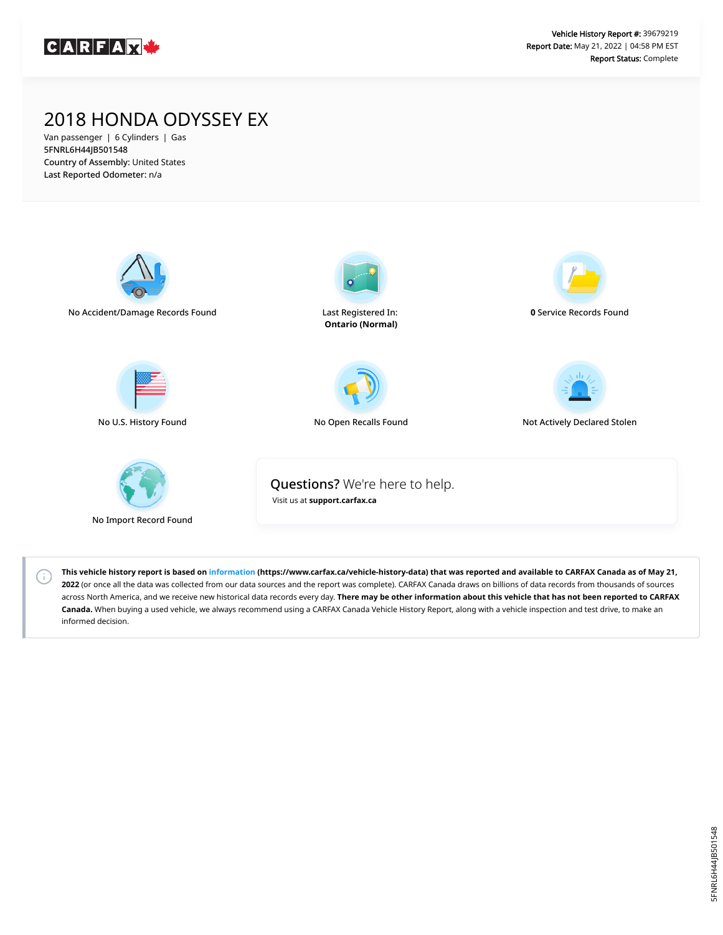

## 2018 HONDA ODYSSEY EX

Van passenger | 6 Cylinders | Gas 5FNRL6H44JB501548 Country of Assembly: United States Last Reported Odometer: n/a



 $(i)$ 

**This vehicle history report is based on [information](https://www.carfax.ca/vehicle-history-data) (https://www.carfax.ca/vehicle-history-data) that was reported and available to CARFAX Canada as of May 21, 2022** (or once all the data was collected from our data sources and the report was complete). CARFAX Canada draws on billions of data records from thousands of sources across North America, and we receive new historical data records every day. **There may be other information about this vehicle that has not been reported to CARFAX Canada.** When buying a used vehicle, we always recommend using a CARFAX Canada Vehicle History Report, along with a vehicle inspection and test drive, to make an informed decision.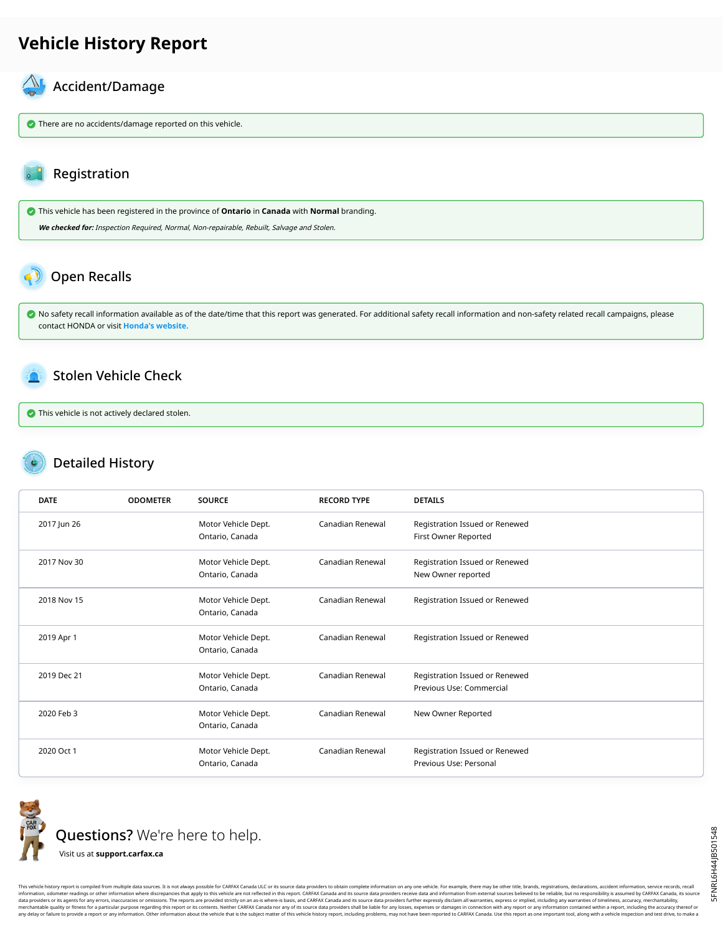## **Vehicle History Report**

#### $\mathcal{N}_{\mathsf{L}}$ Accident/Damage

**There are no accidents/damage reported on this vehicle.** 

### Registration

 This vehicle has been registered in the province of **Ontario** in **Canada** with **Normal** branding. **We checked for:** Inspection Required, Normal, Non-repairable, Rebuilt, Salvage and Stolen.

# <span id="page-1-0"></span>Open Recalls

 No safety recall information available as of the date/time that this report was generated. For additional safety recall information and non-safety related recall campaigns, please contact HONDA or visit **[Honda's website.](http://www.honda.ca/recalls)**

#### <span id="page-1-1"></span>Stolen Vehicle Check

This vehicle is not actively declared stolen.

### Detailed History

| <b>DATE</b> | <b>ODOMETER</b> | <b>SOURCE</b>                          | <b>RECORD TYPE</b> | <b>DETAILS</b>                                             |
|-------------|-----------------|----------------------------------------|--------------------|------------------------------------------------------------|
| 2017 Jun 26 |                 | Motor Vehicle Dept.<br>Ontario, Canada | Canadian Renewal   | Registration Issued or Renewed<br>First Owner Reported     |
| 2017 Nov 30 |                 | Motor Vehicle Dept.<br>Ontario, Canada | Canadian Renewal   | Registration Issued or Renewed<br>New Owner reported       |
| 2018 Nov 15 |                 | Motor Vehicle Dept.<br>Ontario, Canada | Canadian Renewal   | Registration Issued or Renewed                             |
| 2019 Apr 1  |                 | Motor Vehicle Dept.<br>Ontario, Canada | Canadian Renewal   | Registration Issued or Renewed                             |
| 2019 Dec 21 |                 | Motor Vehicle Dept.<br>Ontario, Canada | Canadian Renewal   | Registration Issued or Renewed<br>Previous Use: Commercial |
| 2020 Feb 3  |                 | Motor Vehicle Dept.<br>Ontario, Canada | Canadian Renewal   | New Owner Reported                                         |
| 2020 Oct 1  |                 | Motor Vehicle Dept.<br>Ontario, Canada | Canadian Renewal   | Registration Issued or Renewed<br>Previous Use: Personal   |



Questions? We're here to help.

Visit us at **[support.carfax.ca](https://support.carfax.ca/en/support/home)**

This vehicle history report is compiled from multiple data sources. It is not always possible for CARFAX Canada ULC or its source data providers to obtain complete information on any one vehicle. For example, there may be information, odometer readings or other information where discrepancies that apply to this vehicle are not reflected in this report. CARFAX Canada and its source data providers receive data and information from external so any delay or failure to provide a report or any information. Other information about the vehicle that is the subject matter of this vehicle history report, including problems, may not have been reported to CARFAX Canada. U